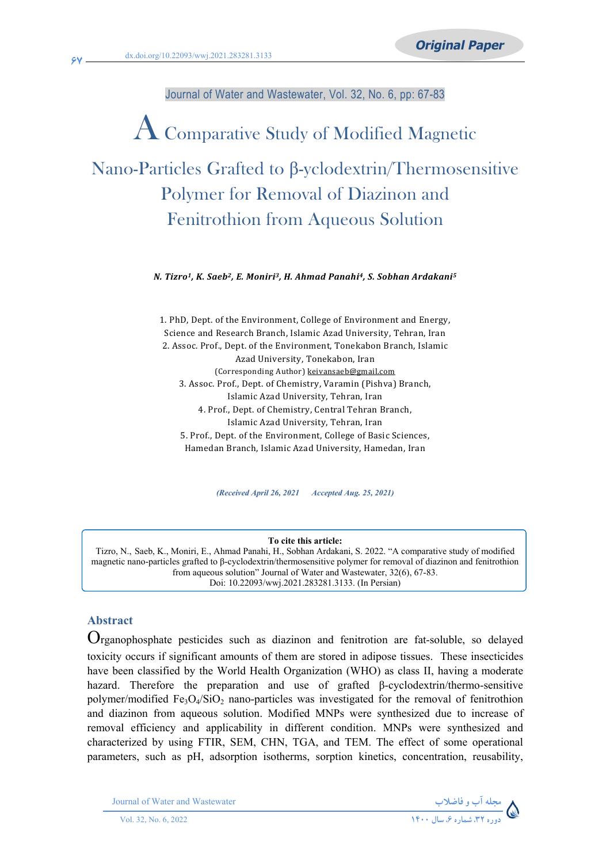Journal of Water and Wastewater, Vol. 32, No. 6, pp: 67-83

# AComparative Study of Modified Magnetic Nano-Particles Grafted to β-yclodextrin/Thermosensitive Polymer for Removal of Diazinon and Fenitrothion from Aqueous Solution

*N. Tizro1, K. Saeb2, E. Moniri3, H. Ahmad Panahi4, S. Sobhan Ardakani<sup>5</sup>*

1. PhD, Dept. of the Environment, College of Environment and Energy, Science and Research Branch, Islamic Azad University, Tehran, Iran 2. Assoc. Prof., Dept. of the Environment, Tonekabon Branch, Islamic Azad University, Tonekabon, Iran (Corresponding Author) [keivansaeb@gmail.com](mailto:keivansaeb@gmail.com) 3. Assoc. Prof., Dept. of Chemistry, Varamin (Pishva) Branch, Islamic Azad University, Tehran, Iran 4. Prof., Dept. of Chemistry, Central Tehran Branch, Islamic Azad University, Tehran, Iran 5. Prof., Dept. of the Environment, College of Basic Sciences, Hamedan Branch, Islamic Azad University, Hamedan, Iran

*(Received April 26, 2021 Accepted Aug. 25, 2021)*

**To cite this article:**

Tizro, N., Saeb, K., Moniri, E., Ahmad Panahi, H., Sobhan Ardakani, S. 2022. "A comparative study of modified magnetic nano-particles grafted to β-cyclodextrin/thermosensitive polymer for removal of diazinon and fenitrothion from aqueous solution" Journal of Water and Wastewater, 32(6), 67-83. Doi: 10.22093/wwj.2021.283281.3133. (In Persian)

#### **Abstract**

Organophosphate pesticides such as diazinon and fenitrotion are fat-soluble, so delayed toxicity occurs if significant amounts of them are stored in adipose tissues. These insecticides have been classified by the World Health Organization (WHO) as class II, having a moderate hazard. Therefore the preparation and use of grafted β-cyclodextrin/thermo-sensitive polymer/modified  $Fe<sub>3</sub>O<sub>4</sub>/SiO<sub>2</sub>$  nano-particles was investigated for the removal of fenitrothion and diazinon from aqueous solution. Modified MNPs were synthesized due to increase of removal efficiency and applicability in different condition. MNPs were synthesized and characterized by using FTIR, SEM, CHN, TGA, and TEM. The effect of some operational parameters, such as pH, adsorption isotherms, sorption kinetics, concentration, reusability,

Journal of Water and Wastewater **وفاضلاب مجلهآب**

**67**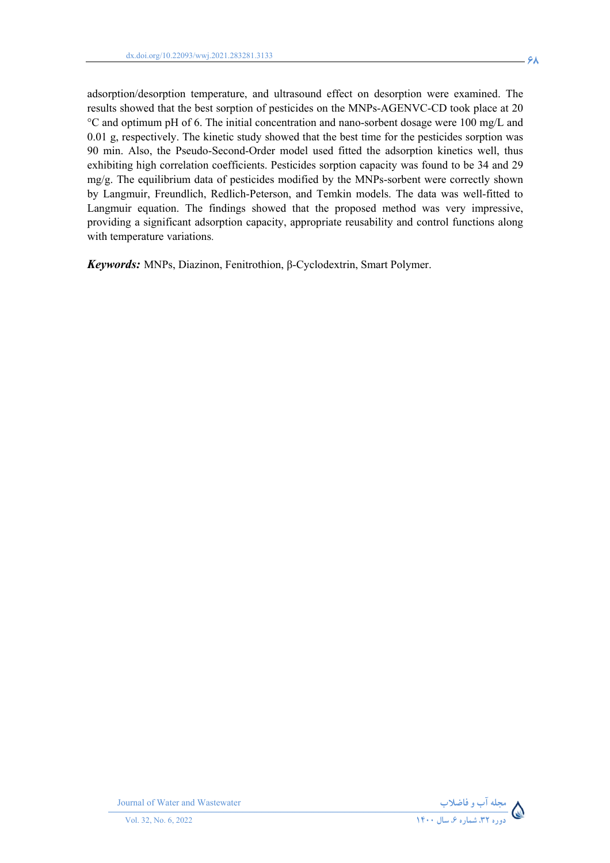adsorption/desorption temperature, and ultrasound effect on desorption were examined. The results showed that the best sorption of pesticides on the MNPs-AGENVC-CD took place at 20 °C and optimum pH of 6. The initial concentration and nano-sorbent dosage were 100 mg/L and 0.01 g, respectively. The kinetic study showed that the best time for the pesticides sorption was 90 min. Also, the Pseudo-Second-Order model used fitted the adsorption kinetics well, thus exhibiting high correlation coefficients. Pesticides sorption capacity was found to be 34 and 29 mg/g. The equilibrium data of pesticides modified by the MNPs-sorbent were correctly shown by Langmuir, Freundlich, Redlich-Peterson, and Temkin models. The data was well-fitted to Langmuir equation. The findings showed that the proposed method was very impressive, providing a significant adsorption capacity, appropriate reusability and control functions along with temperature variations.

*Keywords:* MNPs, Diazinon, Fenitrothion, β-Cyclodextrin, Smart Polymer.



**Journal of Water and Wastewater**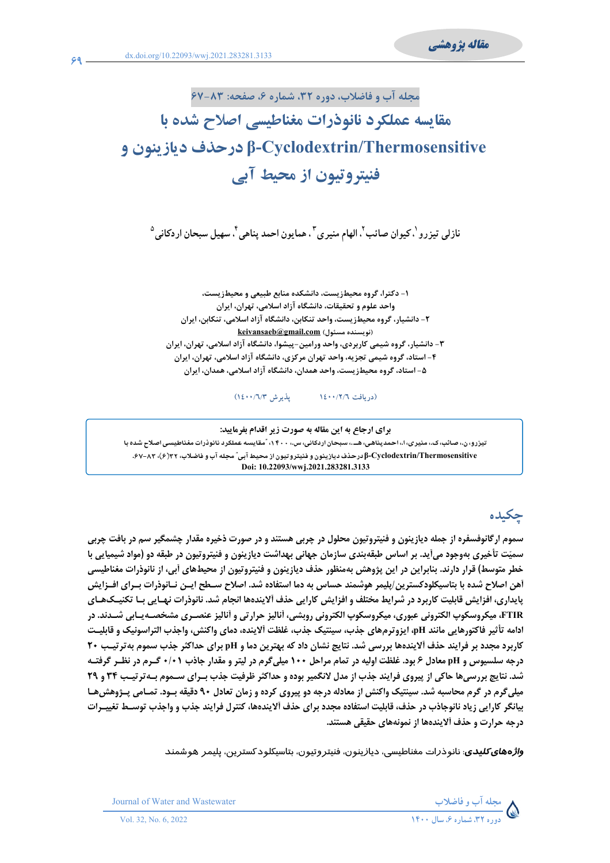**69**



# **مقايسه عملکرد نانوذرات مغناطيسي اصلاح شده با Thermosensitive/Cyclodextrin-β درحذف ديازينون و فنيتروتيون از محيط آبي**

نازلی تيزرو <sup>י</sup>، کيوان صائب <sup>٢</sup>، الهام منيری <sup>٣</sup> ، همايون احمد پناهی <sup>٢</sup>، سهيل سبحان اردکانی <sup>٥</sup>

**-۱ دکترا، گروه محيطزيست، دانشکده منابع طبيعی و محيطزيست، واحد علوم و تحقيقات، دانشگاه آزاد اسلامي، تهران، ايران -۲ دانشيار، گروه محيطزيست، واحد تنکابن، دانشگاه آزاد اسلامي، تنکابن، ايران [keivansaeb@gmail.com](mailto:keivansaeb@gmail.com) (مسئول نويسنده( -۳ دانشيار، گروه شيمی کاربردی، واحد ورامين-پيشوا، دانشگاه آزاد اسلامي، تهران، ايران -۴ استاد، گروه شيمی تجزيه، واحد تهران مرکزی، دانشگاه آزاد اسلامي، تهران، ايران -۵ استاد، گروه محيطزيست، واحد همدان، دانشگاه آزاد اسلامي، همدان، ايران** 

**(دريافت ١٤٠٠/٢/٦ پذيرش ١٤٠٠/٦/٣)** 

**براي ارجاع به اين مقاله به صورت زير اقدام بفرماييد:**  تیزرو، ن.، صائب، ک،، منیری، ا،، احمدپناهی، هــ.، سبحان اردکانی، س.، ۱۴۰۰، ؒمقایسه عملکرد نانوذرات مغناطیسی اصلاح شده با β-Cyclodextrin/Thermosensitive درحذف دیازینون و فنیتروتیون از محیط آبی" مجله آب و فاضلاب، ۶۲(۶)، ۰۶۷–۶۷. **Doi: 10.22093/wwj.2021.283281.3133**

# **چكيده**

 $\overline{a}$ 

سموم ارگانوفسفره از جمله دیازینون و فنیتروتیون محلول در چربی هستند و در صورت ذخیره مقدار چشمگیر سم در بافت چربی سمیّت تأخیری بهوجود میآید. بر اساس طبقهبندی سازمان جهانی بهداشت دیازینون و فنیتروتیون در طبقه دو (مواد شیمیایی با خطر متوسط) قرار دارند. بنابراین در این پژوهش بهمنظور حذف دیازینون و فنیتروتیون از محیطهای آبی، از نانوذرات مغناطیسی أهن اصلاح شده با بتاسيكلودكسترين/پليمر هوشمند حساس به دما استفاده شد. اصلاح ســطح ايــن نــانوذرات بــراي افــزايش پایداری، افزایش قابلیت کاربرد در شرایط مختلف و افزایش کارایی حذف آلایندهها انجام شد. نانوذرات نهـایی بـا تکنیـکـهـای FTIR، ميكروسكوپ الكتروني عبوري، ميكروسكوپ الكتروني روبشي، أناليز حرارتي و أناليز عنصـري مشخصـه يـابي شـدند. در ادامه تأثير فاكتورهايي مانند pH، ايزوترمهاي جذب، سينتيك جذب، غلظت ألاينده، دماي واكنش، واجذب التراسونيك و قابليت کاربرد مجدد بر فرایند حذف آلایندهها بررسی شد. نتایج نشان داد که بهترین دما و pH برای حداکثر جذب سموم بهترتیب ۲۰ درجه سلسیوس و pH معادل ۶ بود. غلظت اولیه در تمام مراحل ۱۰۰ میلی گرم در لیتر و مقدار جاذب ۰/۰۱ گـرم در نظـر گرفتـه شد. نتایج بررسیها حاکی از پیروی فرایند جذب از مدل لانگمیر بوده و حداکثر ظرفیت جذب بـرای سـموم بـهترتیـب ۳۴ و ۲۹ میلی گرم در گرم محاسبه شد. سینتیک واکنش از معادله درجه دو پیروی کرده و زمان تعادل ۹۰ دقیقه بـود. تمـامی پـژوهش۵ط بیانگر کارایی زیاد نانوجاذب در حذف، قابلیت استفاده مجدد برای حذف آلایندهها، کنترل فرایند جذب و واجذب توسـط تغییـرات **درجه حرارت و حذف آلايندهها از نمونههاي حقيقي هستند.**

*واژههايكليدي*: نانوذرات مغناطيسي، ديازينون، فنيتروتيون، بتاسيکلودکسترين، پليمر هوشمند



**Journal of Water and Wastewater**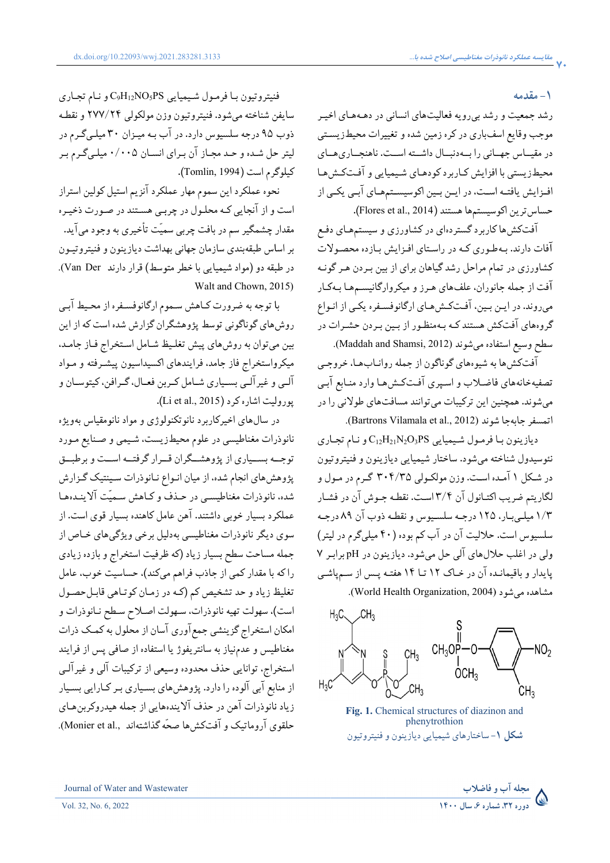#### **-١ مقدمه**

رشد جمعيت و رشد بيرويه فعاليتهاي انساني در دهـههـاي اخيـر زيسـتي را بــهدنبــال داشــته اســت. ناهنجــاريهــاي محيطزيستي با افزايش كـاربرد كودهـاي شـيميايي و افـتكـش١هـا افـزايش يافتــه اســت، در ايــن بــين اكوسيســتمهــاي ابــي يكــي از د بي رويه فعاليتهاي انساني در دهـههـاي اخيـر<br>باري در كره زمين شده و تغييرات محيطـزيسـتي<br><sub>ي ر</sub>ا بــهدنبــال داشــته اســت. ناهنجــاريهــاي حساس ترين اكوسيستمها هستند (Flores et al., 2014). موجب وقايع اسفباري در كره زمين شده و تغييرات در مقيــاس جهــاني را بــهدنبــال<br>محيط زيستي با افزايش كـاربرد كو<br>افــزايش يافتــه اســت، در ايــن بــ<br>حساسترين اكوسيستمها هستند ( موجب وقايع اس<br>در مقيـــاس جهــ<br>محيطـزيستـي با ا

افتکشها کاربرد گستردهاي در کشاورزي و سيستمهـاي دفـع افات دارند. بـهطـوري كـه در راسـتاي افـزايش بـازده محصـولات کشاورزي در تمام مراحل رشد گياهان براي از بين بـردن هـرگونـه نفهای هـرز و ميکروارگانيسـمهـا بـهکـار ميروند. در ايـن بـين، افـتکـش١عـاي ارگانوفسـفره يکـي از انـواع گروههای افتکش هستند کـه بـهمنظـور از بـين بـردن حشـرات در افتکشها کاربرد گستردهاي در کشاورزي و سيستمهـاي دفـع<br>آفات دارند. بـهطـوري کـه در راسـتاي افـزايش بـازده محصـولات<br>کشاورزي در تمام مراحل رشد گياهان براي از بين بـردن هـر گونـه<br>آفت از جمله جانوران، علفـهاي هـرز و ميکروارگانيس گروههاي افتکش هستندکـه بـهمنظـور از بـين بـردن حشـرات<br>سطح وسيع استفاده ميشوند (Maddah and Shamsi, 2012).

افتکشها به شیوههای گوناگون از جمله روانـابهـا، خروجـي هـا وارد منـابع آبـي فیهخانههای فاضـلاب و اسـپری افــتکـشهـا وارد منـابع ابـی<br>شوند. همچنین این ترکیبات میتوانند مسافتـهای طولانی را در سطح وسيع استفاده مىشوند (Maddah and Shamsi, 2012).<br>آفتكش،ها به شيوههاى گوناگون از جمله روانــاب،هــا، خروجــى<br>تصفيهخانههاى فاضـلاب و اسـپرى آفــتكـش،هــا وارد منــابع آبـى<br>مىشوند. همچنين اين تركيبات مىتوانند مسافتـهاى طول .(Bartrons Vilamala et al., 2012) (Bartrons شوند جا جابه تصفيهخانههاي فاض<br>ميشوند. همچنين ا<br>اتمسفر جابهجا شون مي

ديازينون بـا فرمـول شـيميايي C<sub>12</sub>H<sub>21</sub>N<sub>2</sub>O3PS و نـام تجـاري نئوسيدول شناخته ميشود. ساختار شيميايي ديازينون و فنيتروتيون نل ۱ امـده اسـت. وزن مولکـولي ۳۰۴/۳۵ گـرم در مـول و در شـکل ۱ امـده اسـت. وزن مولکـولى ۳۰۴/۳۵ گـرم در مـول و<br>لگاريتم ضريب اکتـانول آن ۳/۴اسـت. نقطـه جـوش آن در فشـار ۱/۳ ميلـيبـار، ۱۲۵ درجـه سلسـيوس و نقطـه ذوب آن ۸۹ درجـه ۱/۳ میلـیبـار، ۱۲۵ درجـه سلســیوس و نقطـه ذوب ان ۸۹ درجـه<br>سلسیوس است. حلالیت آن در آب کم بوده (۴۰ میلیگرم در لیتر) سلسيوس است. حلاليت ان در اب كم بوده (۴۰ ميليگرم در ليتر)<br>ولي در اغلب حلالهاي آلي حل ميشود. ديازينون در pH برابـر ۷ پایدار و باقیمانـده ان در خـاک ۱۲ تــا ۱۴ هفتــه پــس از ســمپاشــی در اغلہ<br>ر و باق<br>مدہ مي

مشاهده میشود (World Health Organization, 2004).



**Fig. 1.** Chemical structures of diazinon and ساختارهاي شيميايي ديازينون وفنيتروتيون **-۱ شکل** phenytrothion

فنيتروتيون بـا فرمـول شـيميايي C9H<sub>12</sub>NO5PS و نـام تجـاري سايفن شناخته ميشود. فنيتروتيون وزن مولکولي ۲۷۷/۲۴ و نقطـه ذوب ۹۵ درجه سلسيوس دارد. در اب بـه ميـزان ۳۰ ميلـيگـرم در ليتر حل شـده و حـد مجـاز ان بـراي انسـان ۰/۰۰۵ ميلـيگـرم بـر .(Tomlin, 1994 كيلوگرم است (1994 ,Tomlin

نحوه عملکرد اين سموم مهار عملکرد آنزيم استيل کولين استراز است واز آنجايي کـه محلـول در چربـي هسـتند در صـورت ذخيـره نحوه عملکرد اين سموم مهار عملکرد انزيم استيل کولين استراز<br>است و از آنجايي کـه محلـول در چربـي هسـتند در صـورت ذخيـره<br>مقدار چشمگير سم در بافت چربي سميّت تأخيري به وجود مي]يد. بندي سازمان جهاني بهداشت ديازينون وفنيتروتيـون طبقه بر اساس طبقهبندي سازمان جهاني بهداشت ديازينون و فنيتروتيـون<br>در طبقه دو (مواد شيميايي با خطر متوسط) قرار دارند Van Der). . Walt and Chown, 2015) مقدار چشمگير سم در بافت چربي سميت<br>بر اساس طبقهبندي سازمان جهاني بهداشہ<br>در طبقه دو (مواد شيميايي با خطر متوسط<br>با توجه به ضرورت كـاهش سـموم ارٴ<br>بين ميتوان به روشهاي پيش تغلـيظ شـ<br>بين ميتوان به روشهاي پيش تغلـيظ شـ

با توجه به ضرورتکـاهش سـمومارگانوفسـفره از محـيط آبـي روش،ای گوناگونی توسط پژوهشگران گزارش شده است که از این تغلـيظ شـامل اسـتخراج فـاز جامـد، تغلـيظمیکرواستخراج فاز جامد، فرایندهای اکسیداسیون پیشـرفته و مـواد الـي و غيرالـي بسـياري شـامل كـربن فعـال، گـرافن، كيتوسـان و .(Li e et al., 2015) پوروليت اشاره کرد (کرد روشهای گوناگونی توسط پژوهشگران گزارش شده است که از<br>بین میتوان به روشهای پیش تغلـیظ شـامل اسـتخراج فـاز جا<br>میکرواستخراج فاز جامد، فرایندهای اکسیداسیون پیشـرفته و م<br>آلـی و غیرآلـی بسـیاری شـامل کـربن فعـال، گـرافن، کیتوسـا مي

سالهای اخیرکاربرد نانوتکنولوژی و مواد نانومقیاس بهویژه در سالهای اخیرکاربرد نانوتکنولوژی و مواد نانومقیاس بهویژه<br>رات مغناطیسی در علوم محیطزیست، شـیمی و صـنایع مـورد توجــه بســياري از پژوهشــگران قــرارگرفتــه اســت وبرطبــق پژوهش،اي انجام شده، از ميان انـواع نـانوذرات سـينتيک گـزارش نانوذرات مغناطيسى در علوم محيطزيست، شـيمى و صـنايع مـورد<br>توجـــه بســيارى از پژوهشـــگران قــرار گرفتـــه اســت و برطبــق<br>پژوهش«اى انجام شده، از ميان انـواع نــانوذرات سـينتيک گــزارش<br>شده، نانوذرات مغناطيســى در حـذف و کـ عملکرد بسيار خوبي داشتند. آهن عامل کاهنده بسيار قوي است. از سوي ديگر نانوذرات مغناطيسي بهدليل برخي ويژگيهاي خـاص از مساحت سطح بسيار زياد (کهظرفيت استخراج وبازده زيادي بسيار (کهظرفيت استخراج کند)، حساسيت خوب، عامل يظ زياد و حد تشخيص كم (کـه در زمـان کوتـاهي قابـلحصـول است)، سهولت تهيه نانوذرات، سـهولت اصـلاح سـطح نـانوذرات و جمله مساحت سطح بسيار زياد (كه ظرفيت استخراج و بازده زيادي<br>را كه با مقدار كمى از جاذب فراهم مىكند)، حساسيت خوب، عامل<br>تغليظ زياد و حد تشخيص كم (كـه در زمـان كوتـاهى قابـلحصـول<br>امكان استخراج گزينشى جمع آورى آسان از محلول به مغناطيس و عدمنياز به سانتريفوژ يا استفاده از صافي پس از فرايند مغناطيس و عدمنياز به سانتريفوژ يا استفاده از صافى پس از فرايند<br>استخراج، توانايى حذف محدوده وسيعى از تركيبات آلى و غيرآلـى<br>از منابع آبى آلوده را دارد. پژوهشهاى بسـيارى بـر كـارايى بسـيار از منابع آبي آلوده را دارد. پژوهشهاي بسـياري بـر کـارايي بسـيار ولت تهيه نانوذرات، سـهولت اصـلاح سـطح نـانوذرات و<br>نراج گزينشى جمع آورى آسان از محلول به كمـك ذرات<br>و عدمنياز به سانتريفوژ يا استفاده از صافى پس از فرايند<br>توانايي حذف محدوده وسيعي از تركيبات آلي و غيرآلـي<br>يات آهن در حذف آلا حلقوی اروماتیک و افتکشها صحّه گذاشتهاند Monier et al.,). جمله مساحت سطح بسيار زياد (که ظرفيت استخراج و بازد<br>را که با مقدار کمي از جاذب فراهم ميکند)، حساسيت خوب<br>تغليظ زياد و حد تشخيص کم (کـه در زمـان کوتـاهي قابـل که با مقدار کمی از جاذب فراهم می از منابع آبي آلوده را دارد. پژوهشهايزياد نانوذرات آهن در <sup>ح</sup>ذف آلايندههايي هيدروکربنحلقوي آروماتيک وآفتکشها صحهاشته پژوهشهاي انجام شده، از ميان انـو<br>شده، نانوذرات مغناطيسـي در حـذ<br>عملكرد بسيار خوبي داشتند. آهن ه<br>سوي ديگر نانوذرات مغناطيسي به آهن در حذف الاينده تغليظ زياد و حد<br>است). سهولت ت<sub>ا</sub><br>مغناطيس و عدم<br>مغناطيس و عدم فنيتروتيون با فرمول شي<u>عيابي</u><br>فنيتروتيون با فرمول شيعيابي<br>دايفن شناخته مي شور الدين با زيال ديدا<br>كيلوگرم است به ديدان ديدان ديدان<br>كيلوگرم است به ديدان ديدان ديدان ديدان<br>است با توجه بين مي اين بين بين ديدان<br>است به ديدان بي

**١ ، شماره ،٦ سال ١٤٠٠ دوره ،٣٢ مجلهآب وفاضلاب**

Journal of Water and Wastewater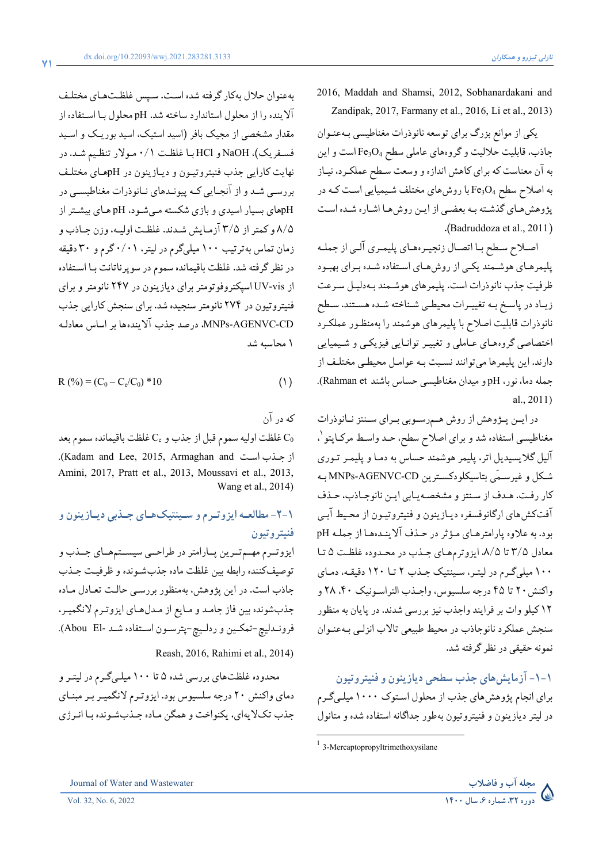2016, Maddah and Shamsi, 2012, Sobhanardakani and . Zandipak, 2017, Farmany et al., 2016, Li et al., 2013)

يکي از موانع بزرگ براي توسعه نانوذرات مغناطيسي بـهعنـوان جاذب، قابليت حلاليت و گروههاي عاملي سطح <sup>4</sup>O3Fe است واين به آن معناست که براي کاهش اندازهووسعت سـطح عملکـرد، نيـاز به اصلاح سطح <sup>4</sup>O3Fe با روشهاي مختلف شـيميايي اسـت کـه در پژوهشهـاي گذشـته بـه بعضـي از ايـن روشهـا اشـاره شـده اسـت .(Badruddoza et al., 2011)

اصـلاح سـطح بـا اتصـال زنجيـرههـاي پليمـري آلـي از جملـه پليمرهـاي هوشـمند يکـي از روشهـاي اسـتفاده شـده بـراي بهبـود ظرفيت جذب نانوذرات است. پليمرهاي هوشـمند بـهدليـل سـرعت زيـاد در پاسـخ بـه تغييـرات محيطـي شـناخته شـده هسـتند. سـطح نانوذرات قابليت اصلاح با پليمرهاي هوشمند را بهمنظـور عملکـرد اختصاصي گروههـاي عـاملي و تغييـرتوانـايي فيزيکـي و شـيميايي دارند. اين پليمرها ميتوانند نسـبت بـه عوامـل محيطـي مختلـف از جمله دما، نور، pH و ميدان مغناطيسي حساس باشند Rahman et). . al., 2011)

در ايـن پــژوهش از روش هــمرسـوبي بــراي ســنتزنــانوذرات مغناطيسي استفاده شد و براي اصلاح سطح، حـد واسـط مرکـاپتو ١ ، آليل گلايسيديل اتر، پليمر هوشمند حساس به دمـا و پليمـرتـوري شـکل وغيرسـمي بتاسيکلودکسـترين CD-AGENVC-MNPs بـه کار رفـت. هـدف از سـنتزومشخصـهيـابي ايـن نانوجـاذب، حـذف آفتکشهاي ارگانوفسفره ديـازينون و فنيتروتيـون از محـيط آبـي بود. به علاوه پارامترهـاي مـؤثردر حـذف آلاينـدههـا از جملـه pH معادل ۳/۵ تا ،۸/۵ ايزوترمهـاي جـذب در محـدوده غلظـت ۵ تـا ۱۰۰ ميليگـرم در ليتـر، سـينتيک جـذب ۲ تـا ۱۲۰ دقيقـه، دمـاي واکنش۲۰ تا ۴۵ درجه سلسيوس، واجـذب التراسـونيک ،۴۰ ۲۸ و ۱۲ کيلو وات بر فرايند واجذب نيز بررسي شدند. در پايان به منظور سنجش عملکرد نانوجاذب در محيط طبيعي تالاب انزلـي بـهعنـوان نمونه حقيقي درنظرگرفته شد.

**-١-١ آزمايشهاي جذب سطحي ديازينون وفنيتروتيون**  براي انجام پژوهشهاي جذب از محلول اسـتوک۱۰۰۰ ميلـيگـرم در ليترديازينون و فنيتروتيون بهطور جداگانه استفاده شدهومتانول

 $\overline{a}$ 

بهعنوان حلال بهکار گرفته شده اسـت. سـپس غلظـتهـاي مختلـف آلاينده را از محلول استاندارد ساخته شد. pH محلول بـا اسـتفاده از مقدار مشخصي از مجيک بافر (اسيد استيک، اسيد بوريـک و اسـيد فسـفريک)، NaOH وHCl بـا غلظـت ۰/۱ مـولار تنظـيم شـد. در نهايت کارايي جذب فنيتروتيـون و ديـازينون در pHهـاي مختلـف بررسـي شـد وازآنجـايي کـه پيونـدهاي نـانوذرات مغناطيسـي در pHهاي بسيار اسيدي وبازي شکسته مـيشـود، pH هـاي بيشـتراز ۸/۵ و كمتراز ۳/۵ آزمـايش شـدند. غلظـت اوليـه،وزن جـاذبو زمان تماس بهترتيب ۱۰۰ ميليگرم در ليتر، ۰/۰۱ گرمو ۳۰ دقيقه در نظرگرفته شد. غلظت باقيمانده سموم در سوپرناتانت بـا اسـتفاده از vis-UV اسپکتروفوتومتربراي ديازينون در ۲۴۷ نانومترو براي فنيتروتيون در ۲۷۴ نانومتر سنجيده شد. براي سنجش کارايي جذب CD-AGENVC-MNPs، درصد جذب آلايندهها بر اساس معادلـه ۱ محاسبه شد

$$
R(^{9}_{0}) = (C_{0} - C_{e}/C_{0}) * 10
$$
\n(1)

که درآن

غلظت اوليه سموم قبل از جذب و C<sub>e</sub> غلظت باقيمانده سموم بعد  $\mathrm{C_{0}}$ .(Kadam and Lee, 2015, Armaghan and جـذباسـت از Amini, 2017, Pratt et al., 2013, Moussavi et al., 2013, . Wang et al., 2014)

## **-٢-١ مطالعـهايزوتـرمو سـينتيکهـاي جـذبي ديـازينون و فنيتروتيون**

ايزوتــرم مهــم تــرين پــارامتر در طراحــي سيســتمهــاي جــذب و توصيفکننده رابطه بين غلظت ماده جذبشـونده وظرفيـت جـذب جاذب است. در اين پژوهش، بهمنظور بررسـي حالـت تعـادل مـاده جذبشونده بين فاز جامـد و مـايع از مـدلهـاي ايزوتـرم لانگميـر، فرونـدليچ-تمکـين وردلـيچ-پترسـون اسـتفاده شـد -El Abou(.

. Reash, 2016, Rahimi et al., 2014)

محدوده غلظتهاي بررسي شده ۵ تا ۱۰۰ ميلـيگـرم در ليتـرو دماي واکنش ۲۰ درجه سلسيوس بود. ايزوتـرم لانگميـربـرمبنـاي جذب تکلايهاي، يکنواخت وهمگن مـاده جـذبشـونده بـا انـرژي



**71**

<sup>1</sup> 3-Mercaptopropyltrimethoxysilane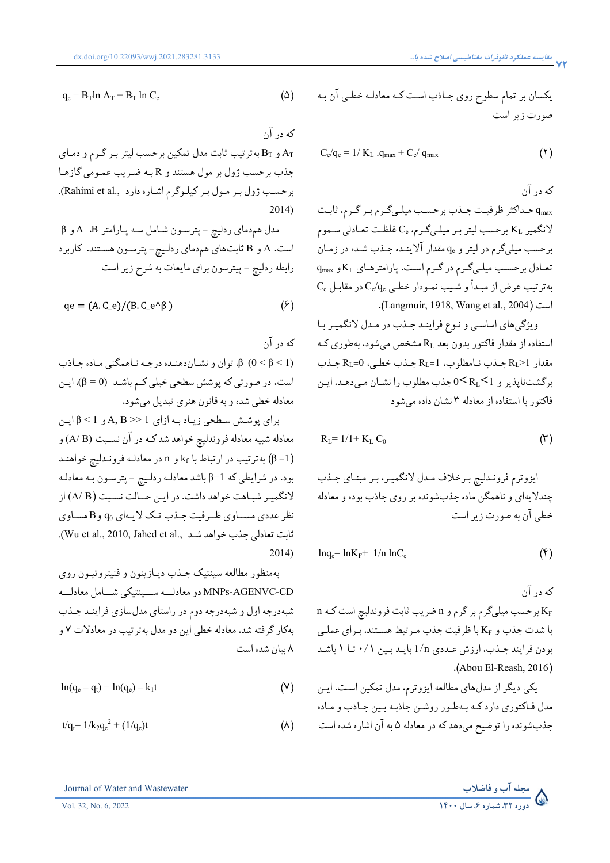$$
q_e = B_T \ln A_T + B_T \ln C_e \tag{2}
$$

كه درآن

و  $\rm B_T$  بهترتيب ثابت مدل تمکين برحسب ليتر بـر گـرم و دمـاي  $\rm A_T$ جذب برحسب ژول بر مول هستند و R بـه ضـريب عمـومي گازهـا برحسب ژول بر مول بر کيلوگرم اشاره دارد ,.Rahimi et al). . 2014)

مدل همدماي ردليچ - پترسـون شـامل سـه پـارامتر B، A و β است. A و B ثابتهاي همدماي ردلـيچ- پترسـون هسـتند. كاربرد رابطه ردليچ - پيترسون براي مايعات به شرح زير است

$$
qe = (A C_e)/(B C_e^{\wedge} \beta)
$$
 (9)

كه درآن (1 > β < 0 (β، توان ونشـاندهنـده درجـه نـاهمگني مـاده جـاذب است، در صورتي که پوشش سطحي خيلي کـم باشـد (0 = β(، ايـن معادله خطي شدهوبه قانون هنري تبديل ميشود.

براي پوشـش سـطحي زيـاد بـه ازاي 1 << B ,A و 1 > β ايـن معادله شبيه معادله فروندليچ خواهد شد کـه درآن نسـبت (B /A (و  $k_{\rm f}$  بهترتيب در ارتباط با k<sub>f</sub> و n در معادلـه فرونـدليچ خواهنـد (β -1) بود. در شرايطي که 1=β باشد معادلـه ردلـيچ - پترسـون بـه معادلـه لانگميـر شبـاهت خواهد داشت. در ايـن حــالت نسـبت (B /A (از نظرعددي مســاوي ظــرفيت جـذبتـک لايـهاي <sup>0</sup>q وB مسـاوي .(Wu et al., 2010, Jahed et al., شـد جذبخواهد تعادلي ثابت . 2014)

بهمنظور مطالعه سينتيک جـذب ديـازينون و فنيتروتيـون روي CD-AGENVC-MNPs دومعادلـــه ســـينتيکي شـــامل معادلـــه شبهدرجه اول و شبهدرجه دوم در راستاي مدلسازي فراينـد جـذب بهکار گرفته شد. معادله خطي اين دومدل بهترتيب در معادلات ۷ و ۸ بيان شده است

$$
ln(q_e - q_t) = ln(q_e) - k_1t
$$
 (Y)

$$
t/q_t = 1/k_2q_e^2 + (1/q_e)t
$$
 (A)

يکسان بر تمام سطوح روي جـاذب اسـت کـه معادلـه خطـي آن بـه صورت زيراست

$$
C_e/q_e = 1/\,K_L\, .q_{max} + C_e/\, q_{max} \qquad \qquad \textbf{(7)}
$$

كه درآن qmax حـداکثرظرفيـت جـذببرحسـب ميلـيگـرمبـرگـرم، ثابـت لانگمير K<sub>L</sub> برحسب ليتر بـر ميلـيگـرم، C<sub>e</sub> غلظـت تعـادلي سـموم برحسب ميليگرم در ليتر و q<sub>e</sub> مقدار الاينـده جـذب شـده در زمـان  $K_{\rm L}$  تعـادل برحسـب ميلـيگـرم در گـرم اسـت. پارامترهـاي  $K_{\rm L}$ و  $\,$  $\mathrm{C_{e}}$  بهترتيب عرض از مبـداً و شـيب نمـودار خطـي  $\mathrm{C_{e}}/\mathrm{q_{e}}$  در مقابـل .(Langmuir, 1918, Wang et al., 2004) است

ويژگيهاي اساسـي و نـوع فراينـد جـذب در مـدل لانگميـربـا استفاده از مقدار فاکتور بدون بعد R<sup>L</sup> مشخص ميشود، بهطوري کـه  $R_{L}=0$  جـذب نـامطلوب، 1=RL جـذب خطـي، 0=RL جـذب برگشتناپذير و 1 $R_{\rm L}$ ك0 جذب مطلوب را نشـان مـي دهـد. ايـن فاکتور با استفاده از معادله ۳ نشان داده ميشود

$$
R_{L} = 1/1 + K_{L} C_{0}
$$
 (\*)

ايزوترم فرونـدليچ بـرخلاف مـدل لانگميـر، بـر مبنـاي جـذب چندلايهاي و ناهمگن ماده جذبشونده برروي جاذب بوده و معادله خطي آن به صورت زيراست

$$
lnq_e = lnK_F + 1/n lnC_e
$$
 (f)

كه درآن

n برحسب ميليگرم برگرم و n ضريب ثابت فروندليچ است كـه n با شدت جذب و K<sup>F</sup> باظرفيت جذب مـرتبط هسـتند. بـراي عملـي بودن فرايند جـذب، ارزش عـددي n1/ بايـد بـين ۰/۱ تـا ۱ باشـد .(Abou El-Reash, 2016)

يکي ديگر از مدلهاي مطالعه ايزوترم، مدل تمکين اسـت. ايـن مدل فـاکتوري دارد کـه بـهطـور روشـن جاذبـه بـين جـاذب و مـاده جذبشونده را توضيح ميدهد که درمعادله ۵ به آن اشاره شده است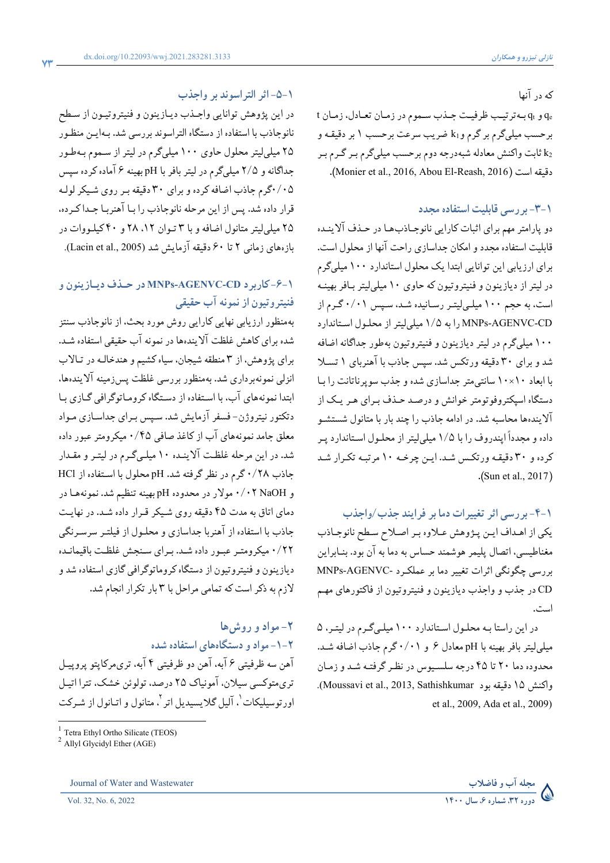که درآنها

q<sup>e</sup> وq<sup>t</sup> ه بـ ترتيـب ظرفيـت جـذبسـموم در زمـان تعـادل، زمـان t برحسب ميليگرمبرگرمو1k ضريب سرعت برحسب ۱ بردقيقـهو <sup>2</sup>k ثابت واکنش معادله شبهدرجه دوم برحسب ميليگرمبـرگـرمبـر .(Monier et al., 2016, Abou El-Reash, 2016) است دقيقه

### **-٣-١ بررسي قابليت استفاده مجدد**

دو پارامترمهم براي اثبات کارايي نانوجـاذبهـا در حـذف آلاينـده قابليت استفاده مجدد و امکان جداسازي راحت آنها از محلول است. براي ارزيابي اين توانايي ابتدا يک محلول استاندارد ١٠٠ ميليگرم در ليتراز ديازينون و فنيتروتيون که حاوي ١٠ ميليليتربـافربهينـه است، به حجم ١٠٠ ميلـيليتـررسـانيده شـد، سـپس ٠/٠١ گـرم از CD-AGENVC-MNPs را به ١/٥ ميليليتراز محلـول اسـتاندارد ۱۰۰ ميليگرم در ليترديازينون و فنيتروتيون بهطور جداگانه اضافه شد و براي ۳۰ دقيقه ورتکس شد. سپس جاذب با آهنرباي ۱ تسـلا با ابعاد ۱۰\*۱۰ سانتيمتر جداسازي شده و جذب سوپرناتانت را بـا دستگاه اسپکتروفوتومتر خوانش و درصـد حـذف بـراي هـريـک از آلايندهها محاسبه شد. در ادامه جاذب را چند بار با متانول شستشـو داده و مجدداً اپندروف را با ١/٥ ميليليتراز محلـول اسـتاندارد پـر کرده و ٣٠ دقيقـه ورتکـس شـد. ايـن چرخـه ۱۰ مرتبـه تکـرار شـد .(Sun et al., 2017)

## **-٤-١ بررسي اثر تغييرات دما بر فرايند جذب/واجذب**

يکي از اهـداف ايـن پـژوهش عـلاوه بـراصـلاح سـطح نانوجـاذب مغناطيسي، اتصال پليمرهوشمند حساس به دما به آن بود. بنـابراين بررسي چگونگي اثرات تغيير دما بر عملکـرد -AGENVC-MNPs CD در جذب و واجذب ديازينون و فنيتروتيون از فاکتورهاي مهـم است.

در اين راستا بـه محلـول اسـتاندارد ۱۰۰ ميلـيگـرم در ليتـر، ۵ ميليليتربافربهينه با pH معادل ٦ و ٠/٠١ گرم جاذب اضافه شـد. محدوده دما ۲۰ تا ۴۵ درجه سلسـيوس در نظـرگرفتـه شـد وزمـان .(Moussavi et al., 2013, Sathishkumar بود دقيقه ۱۵ واکنش . et al., 2009, Ada et al., 2009)

#### **-٥-١ اثر التراسوند بر واجذب**

در اين پژوهش توانايي واجـذب ديـازينون و فنيتروتيـون از سـطح نانوجاذب با استفاده از دستگاه التراسوند بررسي شد. بـهايـن منظـور ۲۵ ميليليترمحلول حاوي ۱۰۰ ميليگرم در ليتراز سـمومبـهطـور جداگانهو ۲/۵ ميليگرم در ليتربافربا pH بهينه ۶ آماده کرده سپس ۰/۰۵گرم جاذب اضافه کردهوبراي ۳۰ دقيقه بـرروي شـيکرلولـه قرار داده شد. پس از اين مرحله نانوجاذب را بـا آهنربـا جـدا کـرده، ۲۵ ميليليترمتانول اضافهوبا ۳ تـوان ،۱۲ ۲۸ و ۴۰ کيلـووات در بازههاي زماني ۲ تا ۶۰ دقيقه آزمايش شد (Lacin et al., 2005).

## **-٦-١ کاربرد CD-AGENVC-MNPs در حـذف ديـازينون و فنيتروتيون ازنمونهآب حقيقي**

بهمنظور ارزيابي نهايي کارايي روش مورد بحث، از نانوجاذب سنتز شده براي کاهش غلظت آلايندهها درنمونه آبحقيقي استفاده شـد. براي پژوهش، از ۳ منطقه شيجان، سياه کشيم وهندخالـه در تـالاب انزلي نمونهبرداري شد. بهمنظور بررسي غلظت پسزمينه آلايندهها، ابتدا نمونههاي آب، با اسـتفاده از دسـتگاه کرومـاتوگرافي گـازي بـا دتکتور نيتروژن- فسفرآزمايش شد. سـپس بـراي جداسـازي مـواد معلق جامد نمونههاي آب از کاغذ صافي ۰/۴۵ ميکرومترعبور داده شد. در اين مرحله غلظـت آلاينـده ۱۰ ميلـيگـرم در ليتـرو مقـدار جاذب ۰/۲۸ گرم در نظر گرفته شد. pH محلول با اسـتفاده از HCl و NaOH ۰/۰۲ مولار در محدوده pH بهينه تنظيم شد. نمونههـا در دماي اتاق به مدت ۴۵ دقيقه روي شـيکرقـرار داده شـد. در نهايـت جاذب با استفاده از آهنربا جداسازي و محلـول از فيلتـر سرسـرنگي ۰/۲۲ ميکرومتـرعبـور داده شـد. بـراي سـنجش غلظـت باقيمانـده ديازينون وفنيتروتيون از دستگاه کروماتوگرافي گازي استفاده شد و لازمبه ذکراست که تمامي مراحل با ۳ بار تکرار انجام شد.

# **-۲ موادوروشها -١-٢ موادودستگاههاي استفاده شده**  آهن سهظرفيتي ۶ آبه، آهن دوظرفيتي ۴ آبه، تريمرکاپتوپروپيـل تريمتوکسي سيلان، آمونياک ۲۵ درصد، تولوئن خشک، تترا اتيـل اورتوسيليکات <sup>י</sup>، آليل گلايسيديل اتر <sup>۲</sup>، متانول و اتـانول از شـرکت

 $\overline{a}$ 

Journal of Water and Wastewater **وفاضلاب مجلهآب**



<sup>1</sup> Tetra Ethyl Ortho Silicate (TEOS)

 $^{2}$  Allyl Glycidyl Ether (AGE)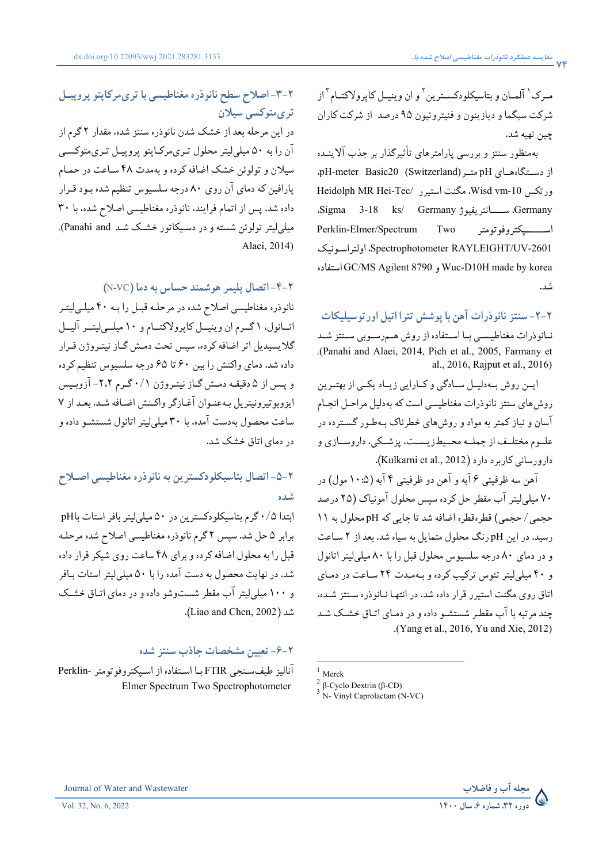مـرک <sup>۱</sup> آلمـان و بتاسيکلودکســترين <sup>۲</sup> و ان وينيــل کاپرولاکتــام <sup>۳</sup>از شرکت سيگماوديازينون وفنيتروتيون ۹۵ درصد از شرکت کاران چين تهيه شد.

بهمنظور سنتز و بررسي پارامترهاي تأثيرگذار بر جذب آلاينـده از دســتگاههــاي pH متـــر (Switzerland) هتاي pH-meter Basic20 Heidolph MR Hei-Tec/ استيرر مگنت ،Wisd vm-10 ورتکس ،Sigma 3-18 ks/ Germany ســـــانتريفيوژ ،Germany Perklin-Elmer/Spectrum Two اســـــــپکتروفوتومتر اولتراسـونيک ،Spectrophotometer RAYLEIGHT/UV-2601 استفاده GC/MS Agilent 8790 و Wuc-D10H made by korea شد.

**-٢-٢ سنتز نانوذرات آهن با پوشش تترا اتيل اورتوسيليکات**  نـانوذرات مغناطيسـي بـا اسـتفاده از روش هـمرسـوبي سـنتز شـد .(Panahi and Alaei, 2014, Pich et al., 2005, Farmany et . al., 2016, Rajput et al., 2016)

ايـن روش بــهدليــل ســادگي وکــارايي زيـاد يکــي از بهتــرين روشهاي سنتزنانوذرات مغناطيسي است که بهدليل مراحـل انجـام آسان و نياز کمتربه مواد و روشهاي خطرناک بـهطـور گسـترده در علــوممختلــف از جملــه محــيطزيســت، پزشــکي، داروســازي و دارورساني کاربرد دارد (Kulkarni et al., 2012).

آهن سهظرفيتي ۶ آبه و آهن دوظرفيتي ۴ آبه (۱۰:۵ مول) در ۷۰ ميليليترآب مقطر حل کرده سپس محلول آمونياک (۲۵ درصد حجمي/ حجمي) قطرهقطره اضافه شد تا جايي که pH محلول به ۱۱ رسيد. در اين pH رنگ محلول متمايل به سياه شد. بعد از ۲ سـاعت ودر دماي ۸۰ درجه سلسيوس محلول قبل را با ۸۰ ميليليتراتانول و ۴۰ ميليليترتئوس ترکيب کردهوبـهمـدت۲۴ سـاعت در دمـاي اتاق روي مگنت استيرر قرار داده شد. در انتهـا نـانوذره سـنتز شـده، چند مرتبه با آبمقطـر شستشـودادهودر دمـاي اتـاق خشـک شـد .(Yang et al., 2016, Yu and Xie, 2012)

 $\overline{a}$ 



در اين مرحله بعد از خشک شدن نانوذره سنتز شده، مقدار ۲ گرم از آن را به ۵۰ ميليليترمحلول تـريمرکـاپتوپروپيـل تـريمتوکسـي سيلان و تولوئن خشک اضافه کرده و بهمدت ۴۸ سـاعت در حمـام پارافين که دماي آن روي ۸۰ درجه سلسيوس تنظيم شده بـود قـرار داده شد. پس از اتمام فرايند، نانوذره مغناطيسي اصلاح شده، با ۳۰ ميلي ليتر تولوئن شسته و در دسـيکاتور خشـک شـد Panahi and). . Alaei, 2014)

**-٤-٢ اتصال پليمر هوشمند حساس بهدما (**VC-N **(**

نانوذره مغناطيسي اصلاح شده در مرحلـه قبـل را بـه ۴۰ ميلـيليتـر اتــانول، ۱ گــرمان وينيــل کاپرولاکتــامو ۱۰ ميلــيليتــرآليــل گلايسيديل اتراضافه کرده، سپس تحت دمـش گـاز نيتـروژن قـرار داده شد. دماي واکنش را بين ۶۰ تا ۶۵ درجه سلسيوس تنظيم کرده وپـس از ۵ دقيقـه دمـش گـاز نيتـروژن ۰/۱ گـرم -۲،۲ آزوبـيس ايزوبوتيرونيتريل بـهعنـوان آغـازگرواکـنش اضـافه شـد. بعـد از ۷ ساعت محصول بهدست آمده، با ۳۰ ميليليتراتانول شستشـودادهو در دماي اتاق خشک شد.

## **-٥-٢ اتصال بتاسيکلودکسترين بهنانوذره مغناطيسي اصـلاح شده**

ابتدا ۰/۵ گرم بتاسيکلودکسترين در ۵۰ ميليليتربافراستاتباpH برابر ۵ حل شد. سپس ۲ گرمنانوذره مغناطيسي اصلاح شده مرحلـه قبل را به محلول اضافه کردهوبراي ۴۸ ساعت روي شيکرقرار داده شد. در نهايت محصول به دست آمده را با ۵۰ ميليليتر استات بـافر و ۱۰۰ ميليليترآب مقطر شستوشودادهودر دماي اتـاق خشـک .(Liao and Chen, 2002) شد

#### **-٦-٢ تعيين مشخصات جاذب سنتز شده**

آناليزطيفسـنجي FTIR بـا اسـتفاده از اسـپکتروفوتومتر-Perklin Elmer Spectrum Two Spectrophotometer



 $1$  Merck

<sup>&</sup>lt;sup>2</sup> β-Cyclo Dextrin (β-CD)

<sup>3</sup> N- Vinyl Caprolactam (N-VC)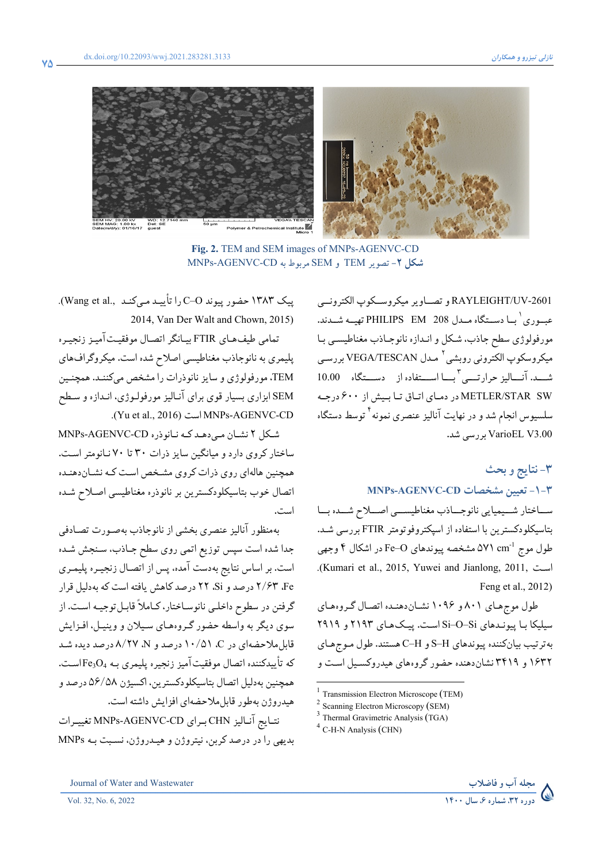

**Fig. 2.** TEM and SEM images of MNPs-AGENVC-CD **شکل -۲** تصوير TEM و SEM مربوط به CD-AGENVC-MNPs

وتصــاويرميکروســکوپالکترونــي RAYLEIGHT/UV-2601 عبــوري ١ بــا دســتگاه مــدل 208 EM PHILIPS تهيــه شــدند. مورفولوژي سطح جاذب، شـکل وانـدازه نانوجـاذب مغناطيسـي بـا میکروسکوپ الکترونی روبشی<sup>۲</sup> مـدل VEGA/TESCAN بررسـی شـــد. آنـــاليز حرارتــــي<sup>۳</sup>بــــا اســــتفاده از دســـتگاه 10.00 SW STAR/METLER در دمـاي اتـاق تـا بـيش از ۶۰۰ درجـه سلسيوس انجام شد و در نهايت آناليز عنصرى نمونه<sup>۴</sup> توسط دستگاه 3.00V VarioEL بررسي شد.

## **-٣ نتايج وبحث MNPs-AGENVC-CD مشخصات تعيين -١-٣**

ســـاختار شـــيميايي نانوجـــاذب مغناطيســـي اصـــلاح شـــده بـــا بتاسيکلودکسترين با استفاده از اسپکتروفوتومتر FTIR بررسي شـد. ۵۷۱ مشخصه پيوندهاي O–Fe در اشکال ۴ وجهي -1 طول موج cm .(Kumari et al., 2015, Yuwei and Jianlong, 2011, اسـت . Feng et al., 2012)

طول موجهـاي ۸۰۱ و ۱۰۹۶ نشـاندهنـده اتصـال گـروههـاي سيليکا بـا پيونـدهاي Si–O–Si اسـت. پيـکهـاي ۲۱۹۳ و ۲۹۱۹ بهترتيب بيانکننده پيوندهاي H–S و H–C هستند. طول مـوجهـاي ۱۶۳۲ و ۳۴۱۹ نشاندهنده حضور گروههاي هيدروکسـيل اسـت و

 $\overline{a}$ 



پيک ۱۳۸۳ حضورپيوند O–C را تأييـد مـيکنـد .,al et Wang(. . 2014, Van Der Walt and Chown, 2015)

تمامي طيفهـاي FTIR بيـانگر اتصـال موفقيـتآميـز زنجيـره پليمري به نانوجاذب مغناطيسي اصلاح شده است. ميکروگرافهاي TEM، مورفولوژي و سايزنانوذرات را مشخص ميکننـد. همچنـين SEM ابزاري بسيار قوي براي آنـاليزمورفولـوژي، انـدازه و سـطح .(Yu et al., 2016) است MNPs-AGENVC-CD

شـکل ۲ نشـان مـيدهـد کـه نـانوذره CD-AGENVC-MNPs ساختار کروي دارد و ميانگين سايزذرات ۳۰ تا ۷۰ نـانومتراسـت. همچنين هالهاي روي ذراتکروي مشـخص اسـت کـه نشـاندهنـده اتصال خوب بتاسيکلودکسترين بر نانوذره مغناطيسي اصـلاح شـده است.

بهمنظور آناليزعنصري بخشي از نانوجاذب بهصـورت تصـادفي جدا شده است سپس توزيع اتمي روي سطح جـاذب، سـنجش شـده است. بر اساس نتايج بهدست آمده، پس از اتصـال زنجيـره پليمـري Fe، ۲/۶۳ درصد وSi، ۲۲ درصد کاهش يافته است که بهدليل قرار گرفتن در سطوح داخلـي نانوسـاختار، کـاملاً قابـلتوجيـه اسـت. از سوي ديگر به واسطه حضور گـروههـاي سـيلان و وينيـل، افـزايش قابلملاحضهاي در C، ۱۰/۵۱ درصد و N، ۸/۲۷ درصد ديده شـد که تأييدكننده اتصال موفقيتآميز زنجيره پليمري بـه <sup>4</sup>O3Fe اسـت. همچنين بهدليل اتصال بتاسيکلودکسترين، اكسيژن ۵۶/۵۸ درصد و هيدروژن بهطور قابلملاحضهاي افزايش داشته است.

نتـايج آنـاليز CHN بـراي CD-AGENVC-MNPs تغييـرات بديهي را در درصد کربن، نيتروژن و هيـدروژن، نسـبت بـه MNPs



<sup>1</sup> Transmission Electron Microscope (TEM)

<sup>&</sup>lt;sup>2</sup> Scanning Electron Microscopy (SEM)

<sup>&</sup>lt;sup>3</sup> Thermal Gravimetric Analysis (TGA)

<sup>&</sup>lt;sup>4</sup> C-H-N Analysis (CHN)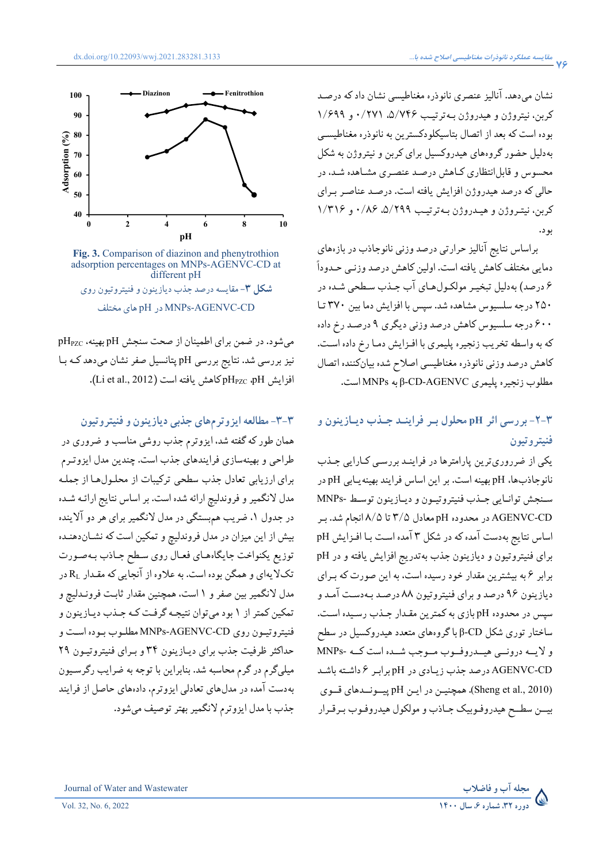نشان ميدهد. آناليزعنصري نانوذره مغناطيسي نشان داد که درصـد کربن، نيتروژن و هيدروژن بـهترتيـب ،۵/۷۴۶ ۰/۲۷۱ و ۱/۶۹۹ بوده است که بعد از اتصال بتاسيکلودکسترين به نانوذره مغناطيسـي بهدليل حضور گروههاي هيدروکسيل براي کربن و نيتروژن به شکل محسوس و قابلانتظاري کـاهش درصـد عنصـري مشـاهده شـد، در حالي که درصد هيدروژن افزايش يافته است. درصـد عناصـر بـراي کربن، نيتـروژن و هيـدروژن بـهترتيـب ،۵/۲۹۹ ۰/۸۶ و ۱/۳۱۶ بود.

براساس نتايج آناليز حرارتي درصد وزني نانوجاذب در بازههاي دمايي مختلف کاهش يافته است. اولين کاهش درصد وزنـي حـدوداً ۶ درصد) بهدليل تبخيـرمولکـولهـاي آب جـذب سـطحي شـده در ۲۵۰ درجه سلسيوس مشاهده شد. سپس با افزايش دما بين ۳۷۰ تـا ۶۰۰ درجه سلسيوس کاهش درصد وزني ديگري ۹ درصـد رخ داده که به واسطه تخريب زنجيره پليمري با افـزايش دمـا رخ داده اسـت. کاهش درصد وزني نانوذره مغناطيسي اصلاح شده بيانکننده اتصال مطلوب زنجيره پليمري AGENVC-CD-β به MNPs است.

## **-٢-٣ بررسي اثر pH محلول بـر فراينـد جـذب ديـازينون و فنيتروتيون**

يکي از ضرروريترين پارامترها در فراينـد بررسـي کـارايي جـذب نانوجاذبها، pH بهينه است. بر اين اساس فرايند بهينهيـابي pH در سـنجش توانـايي جـذبفنيتروتيـون وديـازينون توسـط -MNPs CD-AGENVC در محدوده pH معادل ۳/۵ تا ۸/۵ انجام شد. بـر اساس نتايج بهدست آمده که در شکل ۳ آمده اسـت بـا افـزايش pH براي فنيتروتيون و ديازينون جذب بهتدريج افزايش يافته و در pH برابر ۶ به بيشترين مقدار خود رسيده است، به اين صورت که بـراي ديازينون ۹۶ درصد وبراي فنيتروتيون ۸۸ درصـد بـهدسـت آمـد و سپس در محدوده pH بازي به کمترين مقـدار جـذب رسـيده اسـت. ساختارتوري شکل CD-β با گروههاي متعدد هيدروکسيل در سطح و لايــه درونــي هيــدروفــوب مــوجب شــده است کــه -MNPs CD-AGENVC درصد جذب زيـادي در pH برابـر ۶ داشـته باشـد (2010 .,al et Sheng(. همچنيـن در ايـن pH پيــونــدهاي قــوي بيــن سطــح هيدروفـوبيک جـاذب و مولکول هيدروفـوب بـرقـرار





**Fig. 3.** Comparison of diazinon and phenytrothion adsorption percentages on MNPs-AGENVC-CD at different pH **شکل -۳** مقايسهدرصد جذب ديازينون وفنيتروتيون روي مختلف هاي pH در MNPs-AGENVC-CD

ميشود. در ضمن براي اطمينان از صحت سنجش pH بهينه، pHPZC نيز بررسي شد. نتايج بررسي pH پتانسيل صفرنشان ميدهد کـه بـا  $\rm(Li$  et al., 2012). افزايش pH<sub>PZC</sub> ،pH

## **-٣-٣ مطالعهايزوترمهاي جذبي ديازينون وفنيتروتيون**

همان طور که گفته شد، ايزوترم جذب روشي مناسب و ضروري در طراحي و بهينهسازي فرايندهاي جذب است. چندين مدل ايزوتـرم براي ارزيابي تعادل جذب سطحي ترکيبات از محلـولهـا از جملـه مدل لانگميروفروندليچ ارائه شده است. براساس نتايج ارائـه شـده در جدول ۱، ضريب همېستگي در مدل لانگمير براي هر دو آلاينده بيش از اين ميزان در مدل فروندليچ و تمکين است که نشـاندهنـده توزيع يکنواخت جايگاههـاي فعـال روي سـطح جـاذب بـهصـورت تکلايهاي و همگن بوده است. به علاوه از آنجايي که مقـدار  $\rm R_L$  در مدل لانگميربين صفرو ۱ است، همچنين مقدار ثابـت فرونـدليچ و تمکين کمتراز ۱ بود ميتوان نتيجـه گرفـت کـه جـذب ديـازينون و فنيتروتيـون روي CD-AGENVC-MNPs مطلـوببـوده اسـت و حداکثرظرفيت جذب براي ديـازينون ۳۴ و بـراي فنيتروتيـون ۲۹ ميليگرم در گرم محاسبه شد. بنابراين با توجه به ضرايب رگرسـيون بهدست آمده در مدلهاي تعادلي ايزوترم، دادههاي حاصل از فرايند جذببا مدل ايزوترم لانگميربهترتوصيف ميشود.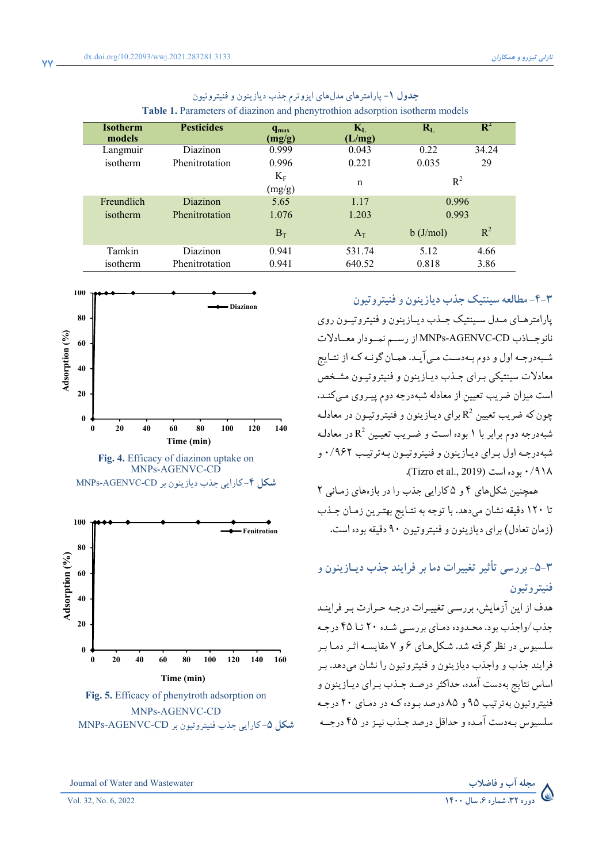| <b>Isotherm</b><br>models | <b>Pesticides</b> | $q_{max}$<br>(mg/g)   | $\mathbf{K}_{\text{L}}$<br>(L/mg) | $R_{L}$     | $\mathbf{R}^2$ |
|---------------------------|-------------------|-----------------------|-----------------------------------|-------------|----------------|
| Langmuir                  | Diazinon          | 0.999                 | 0.043                             | 0.22        | 34.24          |
| isotherm                  | Phenitrotation    | 0.996                 | 0.221                             | 0.035       | 29             |
|                           |                   | $K_{\rm F}$<br>(mg/g) | $\mathbf n$                       | $R^2$       |                |
| Freundlich                | <b>Diazinon</b>   | 5.65                  | 1.17                              | 0.996       |                |
| isotherm                  | Phenitrotation    | 1.076                 | 1.203                             | 0.993       |                |
|                           |                   | $B_T$                 | $A_T$                             | $b$ (J/mol) | $R^2$          |
| Tamkin                    | Diazinon          | 0.941                 | 531.74                            | 5.12        | 4.66           |
| isotherm                  | Phenitrotation    | 0.941                 | 640.52                            | 0.818       | 3.86           |

**جدول -۱** پارامترهاي مدلهاي ايزوترم جذب ديازينون وفنيتروتيون **Table 1.** Parameters of diazinon and phenytrothion adsorption isotherm models



**Fig. 4.** Efficacy of diazinon uptake on MNPs-AGENVC-CD **شکل -۴** کارايي جذب ديازينون بر CD-AGENVC-MNPs



MNPs-AGENVC-CD **شکل -۵** کارايي جذب فنيتروتيون بر CD-AGENVC-MNPs

**-٤-٣ مطالعه سينتيک جذب ديازينون وفنيتروتيون** 

پارامترهـاي مــدل سـينتيک جــذبديـازينون وفنيتروتيــون روي نانوجــاذب CD-AGENVC-MNPs از رســم نمــودار معــادلات شـبهدرجـه اول ودومبـهدسـت مـيآيـد. همـان گونـه کـه از نتـايج معادلات سينتيکي بـراي جـذب ديـازينون و فنيتروتيـون مشـخص است ميزان ضريب تعيين از معادله شبهدرجه دوم پيـروي مـيکنـد، چون که ضريب تعيين  $\mathrm{R}^2$  براي ديـازينون و فنيتروتيـون در معادلـه 2 شبهدرجه دوم برابربا ۱ بوده اسـت و ضـريب تعيـين R در معادلـه شبهدرجـه اول بـراي ديـازينون وفنيتروتيـون بـهترتيـب ۰/۹۶۲ و .(Tizro et al., 2019) بوده است (19

همچنين شکلهاي ۴ و ۵ کارايي جذب را در بازههاي زمـاني ۲ تا ۱۲۰ دقيقه نشان ميدهد. با توجه به نتـايج بهتـرين زمـان جـذب (زمان تعادل) براي ديازينون وفنيتروتيون ۹۰ دقيقه بوده است.

# **-٥-٣ بررسي تأثير تغييرات دما بر فرايند جذب ديـازينون و فنيتروتيون**

هدف از اين آزمايش، بررسـي تغييـرات درجـه حـرارت بـرفراينـد جذب/واجذب بود. محـدوده دمـاي بررسـي شـده ۲۰ تـا ۴۵ درجـه سلسيوس در نظرگرفته شد. شـکلهـاي ٦ و ٧ مقايسـه اثـردمـا بـر فرايند جذب و واجذب ديازينون و فنيتروتيون را نشان ميدهد. بـر اساس نتايج بهدست آمده، حداکثر درصـد جـذب بـراي ديـازينون و فنيتروتيون بهترتيب ۹۵ و ۸۵ درصد بـوده کـه در دمـاي ۲۰ درجـه سلسيوس بـهدست آمـدهو حداقل درصد جـذبنيـزدر ۴۵ درجــه

Journal of Water and Wastewater **وفاضلاب مجلهآب**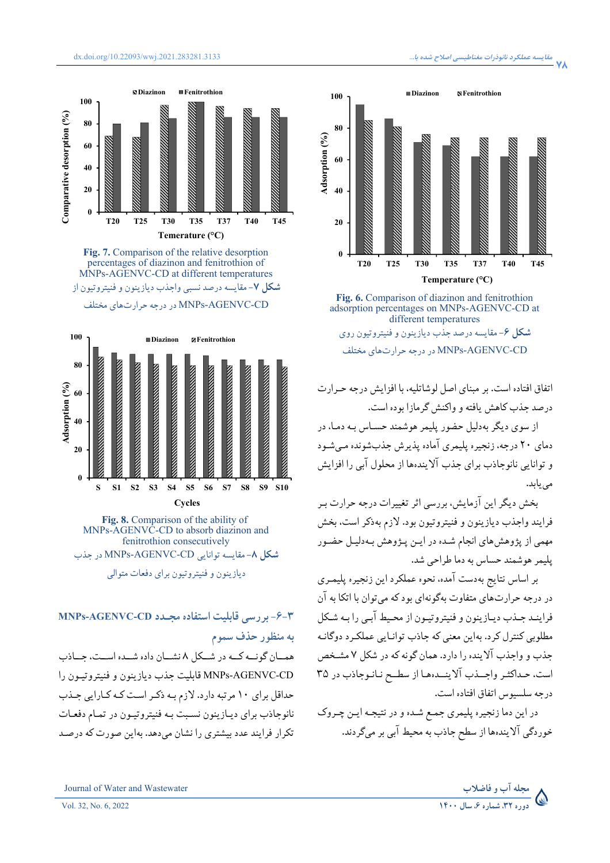







 **Fig. 8.** Comparison of the ability of MNPs-AGENVC-CD to absorb diazinon and fenitrothion consecutively **شکل -٨** مقايسهتوانايي CD-AGENVC-MNPs در جذب

ديازينون و فنيتروتيون براي دفعات متوالي

## **-٦-٣ بررسي قابليت استفاده مجـدد CD-AGENVC-MNPs بهمنظور حذف سموم**

همــان گونــه کــه در شــکل ۸ نشــان داده شــده اســت، جــاذب CD-AGENVC-MNPs قابليت جذب ديازينون و فنيتروتيـون را حداقل براي ١٠ مرتبه دارد. لازم بـه ذکـراسـت کـه کـارايي جـذب نانوجاذب براي ديـازينون نسـبت بـه فنيتروتيـون در تمـام دفعـات تکرار فرايند عدد بيشتري را نشان ميدهد. بهاين صورت که درصـد



**Fig. 6.** Comparison of diazinon and fenitrothion adsorption percentages on MNPs-AGENVC-CD at different temperatures **شکل -٦** مقايسهدرصد جذب ديازينون وفنيتروتيون روي CD-AGENVC-MNPs در درجه حرارتهاي مختلف

اتفاق افتاده است. برمبناي اصل لوشاتليه، با افزايش درجه حـرارت درصد جذب کاهش يافته و واکنش گرمازا بوده است.

از سوي ديگربهدليل حضور پليمرهوشمند حسـاس بـه دمـا، در دماي ۲۰ درجه، زنجيره پليمري آماده پذيرش جذبشونده مـيشـود و توانايي نانوجاذب براي جذب آلايندهها از محلول آبي را افزايش مييابد.

بخش ديگراين آزمايش، بررسي اثرتغييرات درجه حرارت بـر فرايند واجذب ديازينون و فنيتروتيون بود. لازم بهذکر است، بخش مهمي از پژوهشهاي انجام شـده در ايـن پـژوهش بـهدليـل حضـور پليمرهوشمند حساس به دماطراحي شد.

بر اساس نتايج بهدست آمده، نحوه عملکرد اين زنجيره پليمـري در درجه حرارتهاي متفاوت بهگونهاي بود که ميتوان با اتکا به آن فراينـد جـذبديـازينون وفنيتروتيـون از محـيط آبـي را بـه شـکل مطلوبي کنترل کرد. بهاين معني که جاذب توانـايي عملکـرد دوگانـه جذب و واجذب آلاينده را دارد. همان گونه که در شکل ٧ مشـخص است، حـداکثـرواجــذب آلاينــدههـا از سطــح نـانـوجاذب در ٣٥ درجه سلسيوس اتفاق افتاده است.

در اين دما زنجيره پليمري جمـع شـدهودر نتيجـه ايـن چـروک خوردگي آلايندهها از سطح جاذببه محيط آبي برميگردند.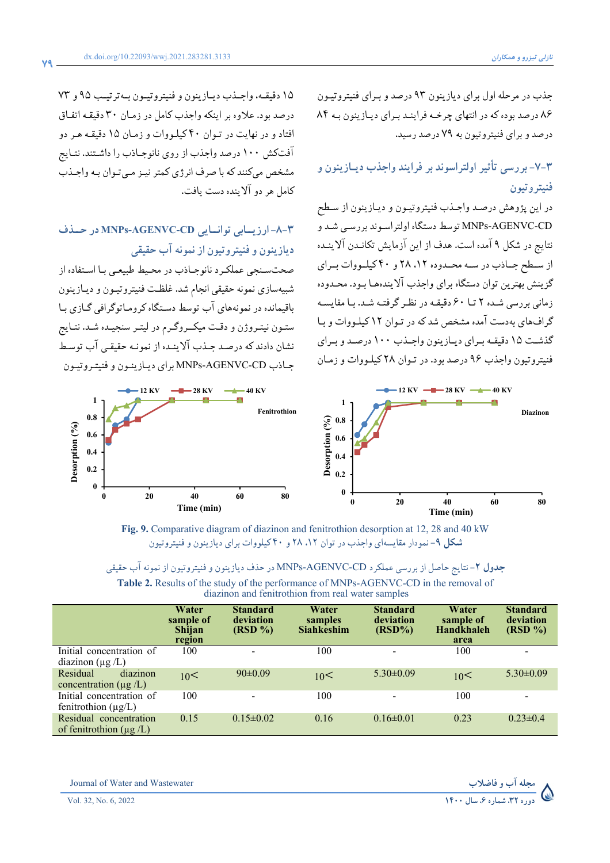جذب در مرحله اول براي ديازينون ٩٣ درصد و بـراي فنيتروتيـون ٨٦ درصد بوده که در انتهاي چرخـه فراينـد بـراي ديـازينون بـه ٨٤ درصد وبراي فنيتروتيون به ٧٩ درصد رسيد.

## **-٧-٣ بررسي تأثير اولتراسوند بر فرايند واجذب ديـازينون و فنيتروتيون**

در اين پژوهش درصـد واجـذب فنيتروتيـون و ديـازينون از سـطح CD-AGENVC-MNPs توسط دستگاه اولتراسـوند بررسـي شـد و نتايج در شکل ٩ آمده است. هدف از اين آزمايش تکانـدن آلاينـده از سـطح جـاذب در سـه محـدوده ١٢، ٢٨ و ۴٠ كيلـووات بـراي گزينش بهترين توان دستگاه براي واجذب آلايندههـا بـود. محـدوده زماني بررسي شـده ٢ تـا ٦٠ دقيقـه در نظـرگرفتـه شـد. بـا مقايسـه گرافهاي بهدست آمده مشخص شد که در تـوان ١٢ کيلـووات و بـا گذشـت ١٥ دقيقـه بـراي ديـازينون واجـذب١٠٠ درصـد وبـراي فنيتروتيون واجذب ٩٦ درصد بود. در تـوان ٢٨ کيلـووات و زمـان

١٥ دقيقـه، واجـذب ديـازينون و فنيتروتيـون بـهترتيـب ٩٥ و ٧٣ درصد بود. علاوه بر اينکه واجذب کامل در زمـان ٣٠ دقيقـه اتفـاق افتاد و در نهايت در تـوان ٤٠ کيلـووات و زمـان ١٥ دقيقـه هـردو آفتکش ١٠٠ درصد واجذباز روي نانوجـاذب را داشـتند. نتـايج مشخص ميکنند که با صرف انرژي کمترنيـزمـيتـوان بـهواجـذب کامل هردوآلاينده دست يافت.

## **-٨-٣ ارزيــابي توانــايي CD-AGENVC-MNPs در حــذف ديازينون وفنيتروتيون ازنمونهآب حقيقي**

صحتسـنجي عملکـرد نانوجـاذب در محـيط طبيعـي بـا اسـتفاده از شبيهسازي نمونه حقيقي انجام شد. غلظـت فنيتروتيـون وديـازينون باقيمانده در نمونههاي آب توسط دسـتگاه کرومـاتوگرافي گـازي بـا ستـون نيتـروژن و دقـت ميکــروگـرم در ليتـر سنجيـده شـد. نتـايج نشان دادند که درصـد جـذب آلاينـده از نمونـه حقيقـي آب توسـط جـاذب CD-AGENVC-MNPs براي ديـازينـون وفنيتـروتيـون





**Fig. 9.** Comparative diagram of diazinon and fenitrothion desorption at 12, 28 and 40 kW **شکل -٩** نمودارمقايسهاي واجذبدرتوان ،١٢ ٢٨ و ٤٠ کيلوواتبراي ديازينون وفنيتروتيون

| <b>جدول ۲</b> - نتایج حاصل از بررسی عملکرد MNPs-AGENVC-CD در حذف دیازینون و فنیتروتیون از نمونه آب حقیقی |  |  |
|----------------------------------------------------------------------------------------------------------|--|--|
|----------------------------------------------------------------------------------------------------------|--|--|

| <b>Table 2.</b> Results of the study of the performance of MNPs-AGENVC-CD in the removal of |  |
|---------------------------------------------------------------------------------------------|--|
| diazinon and fenitrothion from real water samples                                           |  |

|                                                       | Water<br>sample of<br>Shijan<br>region | <b>Standard</b><br>deviation<br>$(RSD \%)$ | Water<br>samples<br><b>Siahkeshim</b> | <b>Standard</b><br>deviation<br>$(RSD\%)$ | Water<br>sample of<br><b>Handkhaleh</b><br>area | <b>Standard</b><br>deviation<br>(RSD %) |
|-------------------------------------------------------|----------------------------------------|--------------------------------------------|---------------------------------------|-------------------------------------------|-------------------------------------------------|-----------------------------------------|
| Initial concentration of<br>diazinon $(\mu g/L)$      | 100                                    |                                            | 100                                   | $\overline{\phantom{0}}$                  | 100                                             | $\overline{\phantom{a}}$                |
| diazinon<br>Residual<br>concentration ( $\mu$ g /L)   | 10<                                    | $90 \pm 0.09$                              | 10<                                   | $5.30 \pm 0.09$                           | 10<                                             | $5.30 \pm 0.09$                         |
| Initial concentration of<br>fenitrothion $(\mu g/L)$  | 100                                    |                                            | 100                                   |                                           | 100                                             | -                                       |
| Residual concentration<br>of fenitrothion $(\mu g/L)$ | 0.15                                   | $0.15 \pm 0.02$                            | 0.16                                  | $0.16 \pm 0.01$                           | 0.23                                            | $0.23 \pm 0.4$                          |

Journal of Water and Wastewater **وفاضلاب مجلهآب**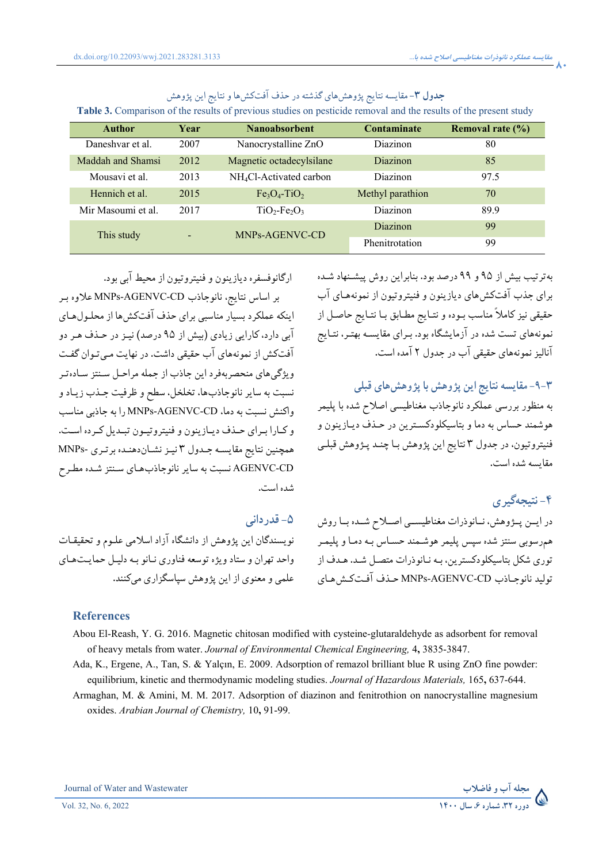| <b>Author</b>      | Year | <b>Nanoabsorbent</b>                | <b>Contaminate</b> | Removal rate $(\% )$ |
|--------------------|------|-------------------------------------|--------------------|----------------------|
| Daneshvar et al.   | 2007 | Nanocrystalline ZnO                 | <b>Diazinon</b>    | 80                   |
| Maddah and Shamsi  | 2012 | Magnetic octadecylsilane            | <b>Diazinon</b>    | 85                   |
| Mousavi et al.     | 2013 | NH <sub>4</sub> Cl-Activated carbon | <b>Diazinon</b>    | 97.5                 |
| Hennich et al.     | 2015 | $Fe3O4-TiO2$                        | Methyl parathion   | 70                   |
| Mir Masoumi et al. | 2017 | $TiO2-Fe2O3$                        | <b>Diazinon</b>    | 89.9                 |
| This study         |      | MNPs-AGENVC-CD                      | <b>Diazinon</b>    | 99                   |
|                    |      |                                     | Phenitrotation     | 99                   |

### **جدول -۳** مقايسه نتايج پژوهشهاي گذشته در حذف آفتکشهاونتايج اين پژوهش

**Table 3.** Comparison of the results of previous studies on pesticide removal and the results of the present study

ارگانوفسفره ديازينون وفنيتروتيون از محيط آبي بود.

بر اساس نتايج، نانوجاذب CD-AGENVC-MNPs علاوه بـر اينکه عملکرد بسيار مناسبي براي حذف آفتکشها از محلـولهـاي آبي دارد، کارايي زيادي (بيش از ٩٥ درصد) نيـزدر حـذف هـردو آفتکش از نمونههاي آب حقيقي داشت. در نهايت مـيتـوان گفـت ويژگيهاي منحصربهفرد اين جاذب از جمله مراحـل سـنتز سـادهتـر نسبت به سايرنانوجاذبها، تخلخل، سطح وظرفيت جـذب زيـادو واکنش نسبت به دما، CD-AGENVC-MNPs را به جاذبي مناسب وکـارا بـراي حـذف ديـازينون وفنيتروتيـون تبـديل کـرده اسـت. همچنين نتايج مقايسـه جـدول ۳ نيـزنشـاندهنـده برتـري -MNPs CD-AGENVC نسبت به سايرنانوجاذبهـاي سـنتز شـده مطـرح شده است.

**-٥ قدرداني** 

نويسندگان اين پژوهش از دانشگاه آزاد اسلامي علـوم وتحقيقـات واحد تهران و ستادويژه توسعه فناوري نـانوبـه دليـل حمايـتهـاي علمي ومعنوي از اين پژوهش سپاسگزاري ميكنند.

بهترتيب بيش از ۹۵ و ۹۹ درصد بود. بنابراين روش پيشـنهاد شـده براي جذب آفتکشهاي ديازينون و فنيتروتيون از نمونههـاي آب حقيقي نيز کاملاً مناسب بـوده و نتـايج مطـابق بـا نتـايج حاصـل از نمونههاي تست شده در آزمايشگاه بود. بـراي مقايسـه بهتـر، نتـايج آناليزنمونههاي حقيقي آبدر جدول ۲ آمده است.

### **-٩-٣ مقايسهنتايج اين پژوهش با پژوهشهای قبلی**

به منظور بررسی عملکرد نانوجاذب مغناطيسی اصلاح شده با پليمر هوشمند حساس به دما و بتاسيکلودکسـترين در حـذف ديـازينون و فنيتروتيون، در جدول ۳ نتايج اين پژوهش بـا چنـد پـژوهش قبلـی مقايسه شده است.

## **-٤ نتيجهگيري**

در ايــن پــژوهش، نــانوذرات مغناطيســي اصــلاح شــده بــا روش همرسوبي سنتز شده سپس پليمرهوشـمند حسـاس بـه دمـاوپليمـر توري شکل بتاسيکلودکسترين، بـه نـانوذرات متصـل شـد. هـدف از توليد نانوجـاذب CD-AGENVC-MNPs حـذف آفـتکـشهـاي

#### **References**

Abou El-Reash, Y. G. 2016. Magnetic chitosan modified with cysteine-glutaraldehyde as adsorbent for removal of heavy metals from water. *Journal of Environmental Chemical Engineering,* 4**,** 3835-3847.

- Ada, K., Ergene, A., Tan, S. & Yalçın, E. 2009. Adsorption of remazol brilliant blue R using ZnO fine powder: equilibrium, kinetic and thermodynamic modeling studies. *Journal of Hazardous Materials,* 165**,** 637-644.
- Armaghan, M. & Amini, M. M. 2017. Adsorption of diazinon and fenitrothion on nanocrystalline magnesium oxides. *Arabian Journal of Chemistry,* 10**,** 91-99.

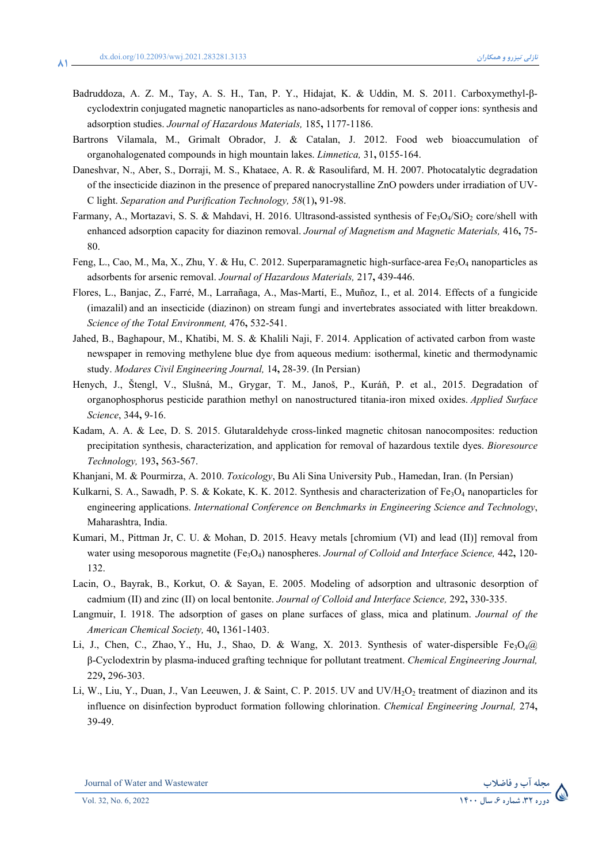**81**

- Badruddoza, A. Z. M., Tay, A. S. H., Tan, P. Y., Hidajat, K. & Uddin, M. S. 2011. Carboxymethyl-βcyclodextrin conjugated magnetic nanoparticles as nano-adsorbents for removal of copper ions: synthesis and adsorption studies. *Journal of Hazardous Materials,* 185**,** 1177-1186.
- Bartrons Vilamala, M., Grimalt Obrador, J. & Catalan, J. 2012. Food web bioaccumulation of organohalogenated compounds in high mountain lakes. *Limnetica,* 31**,** 0155-164.
- Daneshvar, N., Aber, S., Dorraji, M. S., Khataee, A. R. & Rasoulifard, M. H. 2007. Photocatalytic degradation of the insecticide diazinon in the presence of prepared nanocrystalline ZnO powders under irradiation of UV-C light. *Separation and Purification Technology, 58*(1)**,** 91-98.
- Farmany, A., Mortazavi, S. S. & Mahdavi, H. 2016. Ultrasond-assisted synthesis of Fe<sub>3</sub>O<sub>4</sub>/SiO<sub>2</sub> core/shell with enhanced adsorption capacity for diazinon removal. *Journal of Magnetism and Magnetic Materials,* 416**,** 75- 80.
- Feng, L., Cao, M., Ma, X., Zhu, Y. & Hu, C. 2012. Superparamagnetic high-surface-area Fe<sub>3</sub>O<sub>4</sub> nanoparticles as adsorbents for arsenic removal. *Journal of Hazardous Materials,* 217**,** 439-446.
- Flores, L., Banjac, Z., Farré, M., Larrañaga, A., Mas-Martí, E., Muñoz, I., et al. 2014. Effects of a fungicide (imazalil) and an insecticide (diazinon) on stream fungi and invertebrates associated with litter breakdown. *Science of the Total Environment,* 476**,** 532-541.
- Jahed, B., Baghapour, M., Khatibi, M. S. & Khalili Naji, F. 2014. Application of activated carbon from waste newspaper in removing methylene blue dye from aqueous medium: isothermal, kinetic and thermodynamic study. *Modares Civil Engineering Journal,* 14**,** 28-39. (In Persian)
- Henych, J., Štengl, V., Slušná, M., Grygar, T. M., Janoš, P., Kuráň, P. et al., 2015. Degradation of organophosphorus pesticide parathion methyl on nanostructured titania-iron mixed oxides. *Applied Surface Science*, 344**,** 9-16.
- Kadam, A. A. & Lee, D. S. 2015. Glutaraldehyde cross-linked magnetic chitosan nanocomposites: reduction precipitation synthesis, characterization, and application for removal of hazardous textile dyes. *Bioresource Technology,* 193**,** 563-567.
- Khanjani, M. & Pourmirza, A. 2010. *Toxicology*, Bu Ali Sina University Pub., Hamedan, Iran. (In Persian)
- Kulkarni, S. A., Sawadh, P. S. & Kokate, K. K. 2012. Synthesis and characterization of  $Fe<sub>3</sub>O<sub>4</sub>$  nanoparticles for engineering applications. *International Conference on Benchmarks in Engineering Science and Technology*, Maharashtra, India.
- Kumari, M., Pittman Jr, C. U. & Mohan, D. 2015. Heavy metals [chromium (VI) and lead (II)] removal from water using mesoporous magnetite (Fe3O4) nanospheres. *Journal of Colloid and Interface Science,* 442**,** 120- 132.
- Lacin, O., Bayrak, B., Korkut, O. & Sayan, E. 2005. Modeling of adsorption and ultrasonic desorption of cadmium (II) and zinc (II) on local bentonite. *Journal of Colloid and Interface Science,* 292**,** 330-335.
- Langmuir, I. 1918. The adsorption of gases on plane surfaces of glass, mica and platinum. *Journal of the American Chemical Society,* 40**,** 1361-1403.
- Li, J., Chen, C., Zhao, Y., Hu, J., Shao, D. & Wang, X. 2013. Synthesis of water-dispersible Fe<sub>3</sub>O<sub>4</sub>@ β-Cyclodextrin by plasma-induced grafting technique for pollutant treatment. *Chemical Engineering Journal,* 229**,** 296-303.
- Li, W., Liu, Y., Duan, J., Van Leeuwen, J. & Saint, C. P. 2015. UV and UV/H<sub>2</sub>O<sub>2</sub> treatment of diazinon and its influence on disinfection byproduct formation following chlorination. *Chemical Engineering Journal,* 274**,** 39-49.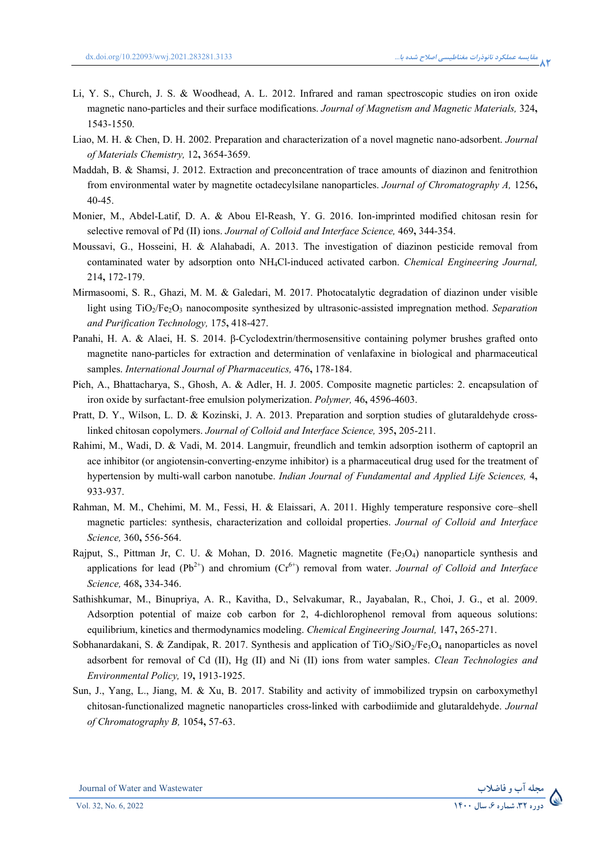- Li, Y. S., Church, J. S. & Woodhead, A. L. 2012. Infrared and raman spectroscopic studies on iron oxide magnetic nano-particles and their surface modifications. *Journal of Magnetism and Magnetic Materials,* 324**,** 1543-1550.
- Liao, M. H. & Chen, D. H. 2002. Preparation and characterization of a novel magnetic nano-adsorbent. *Journal of Materials Chemistry,* 12**,** 3654-3659.
- Maddah, B. & Shamsi, J. 2012. Extraction and preconcentration of trace amounts of diazinon and fenitrothion from environmental water by magnetite octadecylsilane nanoparticles. *Journal of Chromatography A,* 1256**,** 40-45.
- Monier, M., Abdel-Latif, D. A. & Abou El-Reash, Y. G. 2016. Ion-imprinted modified chitosan resin for selective removal of Pd (II) ions. *Journal of Colloid and Interface Science,* 469**,** 344-354.
- Moussavi, G., Hosseini, H. & Alahabadi, A. 2013. The investigation of diazinon pesticide removal from contaminated water by adsorption onto NH4Cl-induced activated carbon. *Chemical Engineering Journal,* 214**,** 172-179.
- Mirmasoomi, S. R., Ghazi, M. M. & Galedari, M. 2017. Photocatalytic degradation of diazinon under visible light using TiO<sub>2</sub>/Fe<sub>2</sub>O<sub>3</sub> nanocomposite synthesized by ultrasonic-assisted impregnation method. *Separation and Purification Technology,* 175**,** 418-427.
- Panahi, H. A. & Alaei, H. S. 2014. β-Cyclodextrin/thermosensitive containing polymer brushes grafted onto magnetite nano-particles for extraction and determination of venlafaxine in biological and pharmaceutical samples. *International Journal of Pharmaceutics,* 476**,** 178-184.
- Pich, A., Bhattacharya, S., Ghosh, A. & Adler, H. J. 2005. Composite magnetic particles: 2. encapsulation of iron oxide by surfactant-free emulsion polymerization. *Polymer,* 46**,** 4596-4603.
- Pratt, D. Y., Wilson, L. D. & Kozinski, J. A. 2013. Preparation and sorption studies of glutaraldehyde crosslinked chitosan copolymers. *Journal of Colloid and Interface Science,* 395**,** 205-211.
- Rahimi, M., Wadi, D. & Vadi, M. 2014. Langmuir, freundlich and temkin adsorption isotherm of captopril an ace inhibitor (or angiotensin-converting-enzyme inhibitor) is a pharmaceutical drug used for the treatment of hypertension by multi-wall carbon nanotube. *Indian Journal of Fundamental and Applied Life Sciences,* 4**,** 933-937.
- Rahman, M. M., Chehimi, M. M., Fessi, H. & Elaissari, A. 2011. Highly temperature responsive core–shell magnetic particles: synthesis, characterization and colloidal properties. *Journal of Colloid and Interface Science,* 360**,** 556-564.
- Rajput, S., Pittman Jr, C. U. & Mohan, D. 2016. Magnetic magnetite (Fe3O4) nanoparticle synthesis and applications for lead ( $Pb^{2+}$ ) and chromium ( $Cr<sup>6+</sup>$ ) removal from water. *Journal of Colloid and Interface Science,* 468**,** 334-346.
- Sathishkumar, M., Binupriya, A. R., Kavitha, D., Selvakumar, R., Jayabalan, R., Choi, J. G., et al. 2009. Adsorption potential of maize cob carbon for 2, 4-dichlorophenol removal from aqueous solutions: equilibrium, kinetics and thermodynamics modeling. *Chemical Engineering Journal,* 147**,** 265-271.
- Sobhanardakani, S. & Zandipak, R. 2017. Synthesis and application of  $TiO<sub>2</sub>/SiO<sub>2</sub>/Fe<sub>3</sub>O<sub>4</sub>$  nanoparticles as novel adsorbent for removal of Cd (II), Hg (II) and Ni (II) ions from water samples. *Clean Technologies and Environmental Policy,* 19**,** 1913-1925.
- Sun, J., Yang, L., Jiang, M. & Xu, B. 2017. Stability and activity of immobilized trypsin on carboxymethyl chitosan-functionalized magnetic nanoparticles cross-linked with carbodiimide and glutaraldehyde. *Journal of Chromatography B,* 1054**,** 57-63.